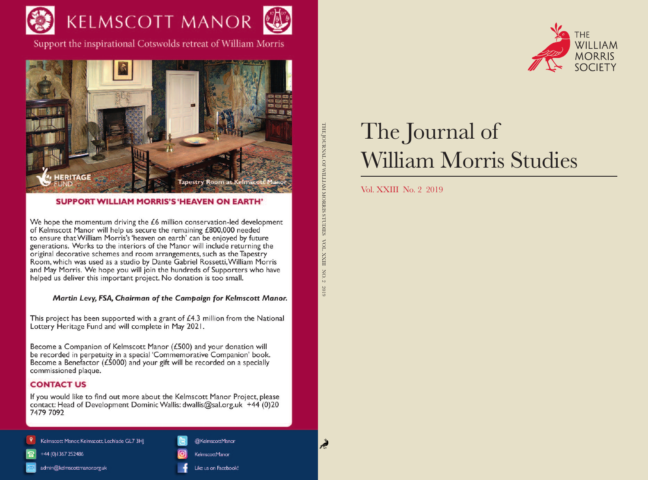

Support the inspirational Cotswolds retreat of William Morris



### **SUPPORT WILLIAM MORRIS'S 'HEAVEN ON EARTH'**

We hope the momentum driving the  $£6$  million conservation-led development of Kelmscott Manor will help us secure the remaining £800,000 needed to ensure that William Morris's 'heaven on earth' can be enjoyed by future generations. Works to the interiors of the Manor will include returning the original decorative schemes and room arrangements, such as the Tapestry Room, which was used as a studio by Dante Gabriel Rossetti, William Morris and May Morris. We hope you will join the hundreds of Supporters who have helped us deliver this important project. No donation is too small.

## Martin Levy, FSA, Chairman of the Campaign for Kelmscott Manor.

This project has been supported with a grant of £4.3 million from the National Lottery Heritage Fund and will complete in May 2021.

Become a Companion of Kelmscott Manor (£500) and your donation will be recorded in perpetuity in a special 'Commemorative Companion' book. Become a Benefactor ( $E$ 5000) and your gift will be recorded on a specially commissioned plaque.

## **CONTACT US**

If you would like to find out more about the Kelmscott Manor Project, please contact: Head of Development Dominic Wallis: dwallis@sal.org.uk +44 (0)20 7479 7092

#### Kelmscott Manor, Kelmscott, Lechlade GL7 3HJ

admin@kelmscottmanor.org.uk

+44 (0) 1367 252486

Like us on Facebook!

@KelmscottManor

**CelmscottManor** 



# The Journal of **William Morris Studies**

## Vol. XXIII No. 2 2019

THE JOURNAL OF WILLIAM MORRIS STUDIES

 $\rm VOL. \, XXIII$ 

 $NO.2$ 

2019

Ř